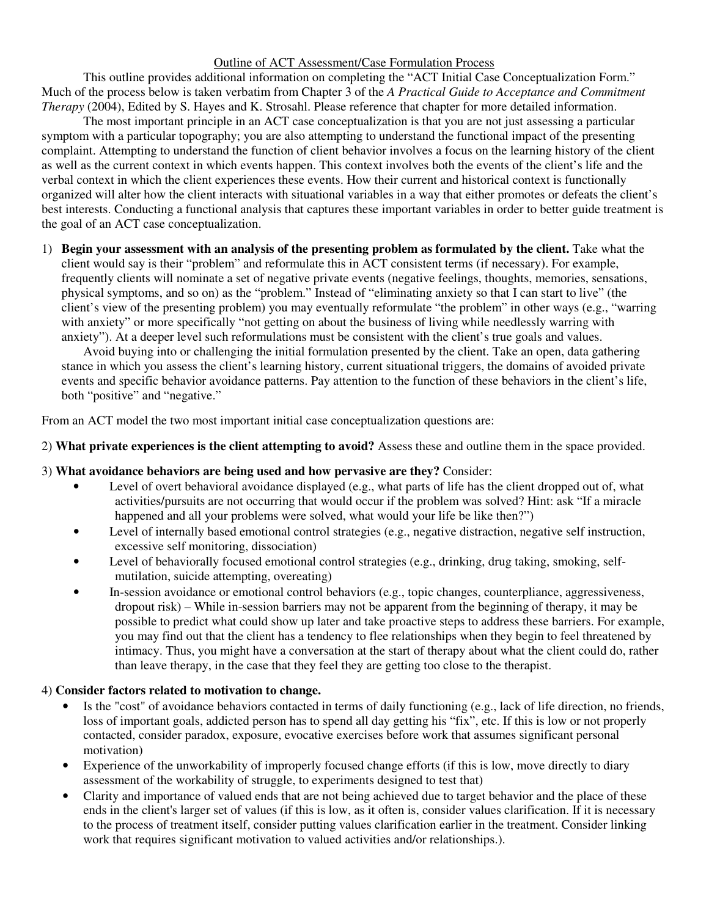### Outline of ACT Assessment/Case Formulation Process

This outline provides additional information on completing the "ACT Initial Case Conceptualization Form." Much of the process below is taken verbatim from Chapter 3 of the *A Practical Guide to Acceptance and Commitment Therapy* (2004), Edited by S. Hayes and K. Strosahl. Please reference that chapter for more detailed information.

The most important principle in an ACT case conceptualization is that you are not just assessing a particular symptom with a particular topography; you are also attempting to understand the functional impact of the presenting complaint. Attempting to understand the function of client behavior involves a focus on the learning history of the client as well as the current context in which events happen. This context involves both the events of the client's life and the verbal context in which the client experiences these events. How their current and historical context is functionally organized will alter how the client interacts with situational variables in a way that either promotes or defeats the client's best interests. Conducting a functional analysis that captures these important variables in order to better guide treatment is the goal of an ACT case conceptualization.

1) **Begin your assessment with an analysis of the presenting problem as formulated by the client.** Take what the client would say is their "problem" and reformulate this in ACT consistent terms (if necessary). For example, frequently clients will nominate a set of negative private events (negative feelings, thoughts, memories, sensations, physical symptoms, and so on) as the "problem." Instead of "eliminating anxiety so that I can start to live" (the client's view of the presenting problem) you may eventually reformulate "the problem" in other ways (e.g., "warring with anxiety" or more specifically "not getting on about the business of living while needlessly warring with anxiety"). At a deeper level such reformulations must be consistent with the client's true goals and values.

Avoid buying into or challenging the initial formulation presented by the client. Take an open, data gathering stance in which you assess the client's learning history, current situational triggers, the domains of avoided private events and specific behavior avoidance patterns. Pay attention to the function of these behaviors in the client's life, both "positive" and "negative."

From an ACT model the two most important initial case conceptualization questions are:

2) **What private experiences is the client attempting to avoid?** Assess these and outline them in the space provided.

#### 3) **What avoidance behaviors are being used and how pervasive are they?** Consider:

- Level of overt behavioral avoidance displayed (e.g., what parts of life has the client dropped out of, what activities/pursuits are not occurring that would occur if the problem was solved? Hint: ask "If a miracle happened and all your problems were solved, what would your life be like then?")
- Level of internally based emotional control strategies (e.g., negative distraction, negative self instruction, excessive self monitoring, dissociation)
- Level of behaviorally focused emotional control strategies (e.g., drinking, drug taking, smoking, selfmutilation, suicide attempting, overeating)
- In-session avoidance or emotional control behaviors (e.g., topic changes, counterpliance, aggressiveness, dropout risk) – While in-session barriers may not be apparent from the beginning of therapy, it may be possible to predict what could show up later and take proactive steps to address these barriers. For example, you may find out that the client has a tendency to flee relationships when they begin to feel threatened by intimacy. Thus, you might have a conversation at the start of therapy about what the client could do, rather than leave therapy, in the case that they feel they are getting too close to the therapist.

#### 4) **Consider factors related to motivation to change.**

- Is the "cost" of avoidance behaviors contacted in terms of daily functioning (e.g., lack of life direction, no friends, loss of important goals, addicted person has to spend all day getting his "fix", etc. If this is low or not properly contacted, consider paradox, exposure, evocative exercises before work that assumes significant personal motivation)
- Experience of the unworkability of improperly focused change efforts (if this is low, move directly to diary assessment of the workability of struggle, to experiments designed to test that)
- Clarity and importance of valued ends that are not being achieved due to target behavior and the place of these ends in the client's larger set of values (if this is low, as it often is, consider values clarification. If it is necessary to the process of treatment itself, consider putting values clarification earlier in the treatment. Consider linking work that requires significant motivation to valued activities and/or relationships.).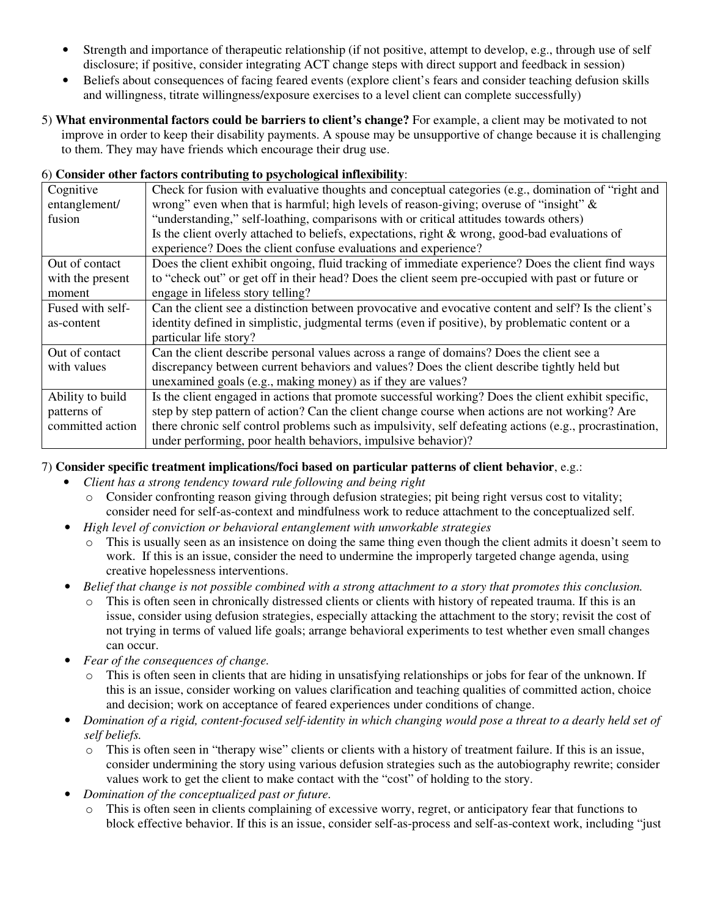- Strength and importance of therapeutic relationship (if not positive, attempt to develop, e.g., through use of self disclosure; if positive, consider integrating ACT change steps with direct support and feedback in session)
- Beliefs about consequences of facing feared events (explore client's fears and consider teaching defusion skills and willingness, titrate willingness/exposure exercises to a level client can complete successfully)
- 5) **What environmental factors could be barriers to client's change?** For example, a client may be motivated to not improve in order to keep their disability payments. A spouse may be unsupportive of change because it is challenging to them. They may have friends which encourage their drug use.

## 6) **Consider other factors contributing to psychological inflexibility**:

| Cognitive        | Check for fusion with evaluative thoughts and conceptual categories (e.g., domination of "right and     |
|------------------|---------------------------------------------------------------------------------------------------------|
| entanglement/    | wrong" even when that is harmful; high levels of reason-giving; overuse of "insight" $\&$               |
| fusion           | "understanding," self-loathing, comparisons with or critical attitudes towards others)                  |
|                  | Is the client overly attached to beliefs, expectations, right & wrong, good-bad evaluations of          |
|                  | experience? Does the client confuse evaluations and experience?                                         |
| Out of contact   | Does the client exhibit ongoing, fluid tracking of immediate experience? Does the client find ways      |
| with the present | to "check out" or get off in their head? Does the client seem pre-occupied with past or future or       |
| moment           | engage in lifeless story telling?                                                                       |
| Fused with self- | Can the client see a distinction between provocative and evocative content and self? Is the client's    |
| as-content       | identity defined in simplistic, judgmental terms (even if positive), by problematic content or a        |
|                  | particular life story?                                                                                  |
| Out of contact   | Can the client describe personal values across a range of domains? Does the client see a                |
| with values      | discrepancy between current behaviors and values? Does the client describe tightly held but             |
|                  | unexamined goals (e.g., making money) as if they are values?                                            |
| Ability to build | Is the client engaged in actions that promote successful working? Does the client exhibit specific,     |
| patterns of      | step by step pattern of action? Can the client change course when actions are not working? Are          |
| committed action | there chronic self control problems such as impulsivity, self defeating actions (e.g., procrastination, |
|                  | under performing, poor health behaviors, impulsive behavior)?                                           |

# 7) **Consider specific treatment implications/foci based on particular patterns of client behavior**, e.g.:

- *Client has a strong tendency toward rule following and being right*
	- o Consider confronting reason giving through defusion strategies; pit being right versus cost to vitality; consider need for self-as-context and mindfulness work to reduce attachment to the conceptualized self.
- *High level of conviction or behavioral entanglement with unworkable strategies*
	- $\circ$  This is usually seen as an insistence on doing the same thing even though the client admits it doesn't seem to work. If this is an issue, consider the need to undermine the improperly targeted change agenda, using creative hopelessness interventions.
- Belief that change is not possible combined with a strong attachment to a story that promotes this conclusion.
	- This is often seen in chronically distressed clients or clients with history of repeated trauma. If this is an issue, consider using defusion strategies, especially attacking the attachment to the story; revisit the cost of not trying in terms of valued life goals; arrange behavioral experiments to test whether even small changes can occur.
- *Fear of the consequences of change.*
	- $\circ$  This is often seen in clients that are hiding in unsatisfying relationships or jobs for fear of the unknown. If this is an issue, consider working on values clarification and teaching qualities of committed action, choice and decision; work on acceptance of feared experiences under conditions of change.
- Domination of a rigid, content-focused self-identity in which changing would pose a threat to a dearly held set of *self beliefs.*
	- o This is often seen in "therapy wise" clients or clients with a history of treatment failure. If this is an issue, consider undermining the story using various defusion strategies such as the autobiography rewrite; consider values work to get the client to make contact with the "cost" of holding to the story.
- *Domination of the conceptualized past or future.*
	- o This is often seen in clients complaining of excessive worry, regret, or anticipatory fear that functions to block effective behavior. If this is an issue, consider self-as-process and self-as-context work, including "just